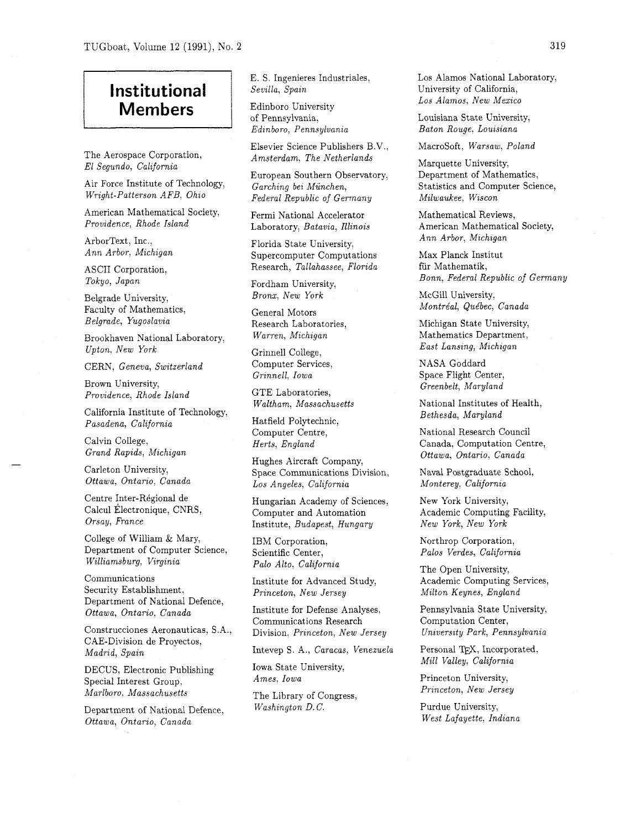## **Institutional Members**

The Aerospace Corporation, El Segundo, California

Air Force Institute of Technology, Wright-Patterson AFB, Ohio

American Mathematical Society, Providence, Rhode Island

ArborText, Inc., Ann Arbor, Michigan

ASCII Corporation, Tokyo, Japan

Belgrade University, Faculty of Mathematics, Belgrade, Yugoslavia

Brookhaven National Laboratory, Upton, New York

CERN, Geneva, Switzerland

Brown University, Providence, Rhode Island

California Institute of Technology, Pasadena, California

Calvin College, Grand Rapids, Michigan

Carleton University, Ottawa, Ontario, Canada

Centre Inter-Régional de Calcul Electronique, CNRS, Orsay, France

College of William & Mary, Department of Computer Science, Williamsburg, Virginia

Communications Security Establishment, Department of National Defence, Ottawa, Ontario, Canada

Construcciones Aeronauticas, S.A., CAE-Division de Proyectos, Madrid, Spain

DECUS, Electronic Publishing Special Interest Group, Marlboro, Massachusetts

Department of National Defence, Ottawa, Ontario, Canada

E. S. Ingenieres Industriales, Sevilla, Spain

Edinboro University of Pennsylvania, Edinboro, Pennsylvania

Elsevier Science Publishers B.V., Amsterdam, The Netherlands

European Southern Observatory. Garching bei Miinchen, Federal Republic of Germany

Fermi National Accelerator Laboratory, Batavia, Illinois

Florida State University, Supercomputer Computations Research, Tallahassee, Florida

Fordham University, Bronx: New York

General Motors Research Laboratories, Warren, Michigan

Grinnell College, Computer Services, Grinnell, Iowa

GTE Laboratories, Waltham, Massachusetts

Hatfield Polytechnic, Computer Centre, Herts, England

Hughes Aircraft Company, Space Communications Division, Los Angeles, California

Hungarian Academy of Sciences, Computer and Automation Institute, Budapest, Hungary

IBM Corporation, Scientific Center, Palo Alto, California

Institute for Advanced Study, Princeton, New Jersey

Institute for Defense Analyses, Communications Research Division, Princeton, New Jersey

Intevep S. A., Caracas, Venezuela

Iowa State University, Ames, Iowa

The Library of Congress, Washington D. C.

Los Alamos National Laboratory, University of California, Los Alamos, New Mexico

Louisiana State University, Baton Rouge, Louisiana

Macrosoft, Warsaw, Poland

Marquette University, Department of Mathematics, Statistics and Computer Science, Milwaukee, Wiscon

Mathematical Reviews, American Mathematical Society, Ann Arbor, Michigan

Max Planck Institut fiir Mathematik, Bonn, Federal Republic of Germany

McGill University, Montréal, Québec, Canada

Michigan State University, Mathematics Department, East Lansing, Michigan

NASA Goddard Space Flight Center, Greenbelt, Maryland

National Institutes of Health, Bethesda, Maryland

National Research Council Canada, Computation Centre, Ottawa, Ontario, Canada

Naval Postgraduate School, Monterey, California

New York University, Academic Computing Facility, New York, New York

Northrop Corporation, Pales Verdes, California

The Open University, Academic Computing Services, Milton Keynes, England

Pennsylvania State University, Computation Center, University Park, Pennsylvania

Personal TEX, Incorporated, Mill Valley, California

Princeton University, Princeton, New Jersey

Purdue University, West Lafayette, Indiana